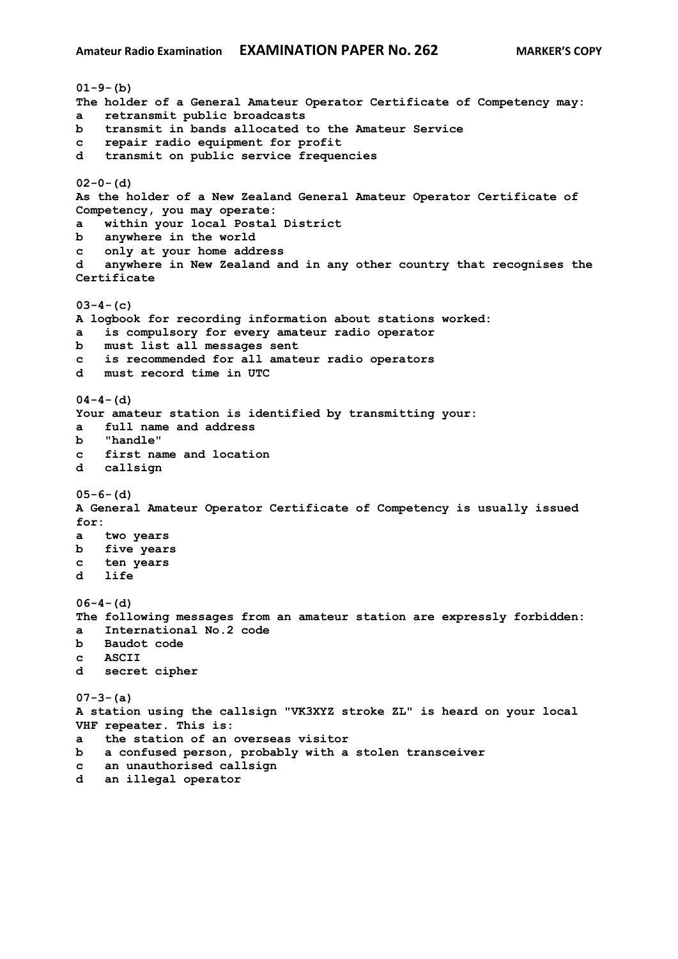```
01-9-(b)
The holder of a General Amateur Operator Certificate of Competency may:
a retransmit public broadcasts
b transmit in bands allocated to the Amateur Service
c repair radio equipment for profit
d transmit on public service frequencies
02-0-(d)
As the holder of a New Zealand General Amateur Operator Certificate of 
Competency, you may operate:
a within your local Postal District
b anywhere in the world
c only at your home address
d anywhere in New Zealand and in any other country that recognises the 
Certificate
03-4-(c)
A logbook for recording information about stations worked:
a is compulsory for every amateur radio operator
b must list all messages sent
c is recommended for all amateur radio operators
d must record time in UTC
04-4-(d)
Your amateur station is identified by transmitting your:
a full name and address
b "handle"
c first name and location
d callsign
05-6-(d)
A General Amateur Operator Certificate of Competency is usually issued 
for:
a two years
b five years
c ten years
d life
06-4-(d)
The following messages from an amateur station are expressly forbidden:
a International No.2 code
b Baudot code
c ASCII
d secret cipher
07-3-(a)
A station using the callsign "VK3XYZ stroke ZL" is heard on your local 
VHF repeater. This is:
a the station of an overseas visitor
b a confused person, probably with a stolen transceiver
c an unauthorised callsign
d an illegal operator
```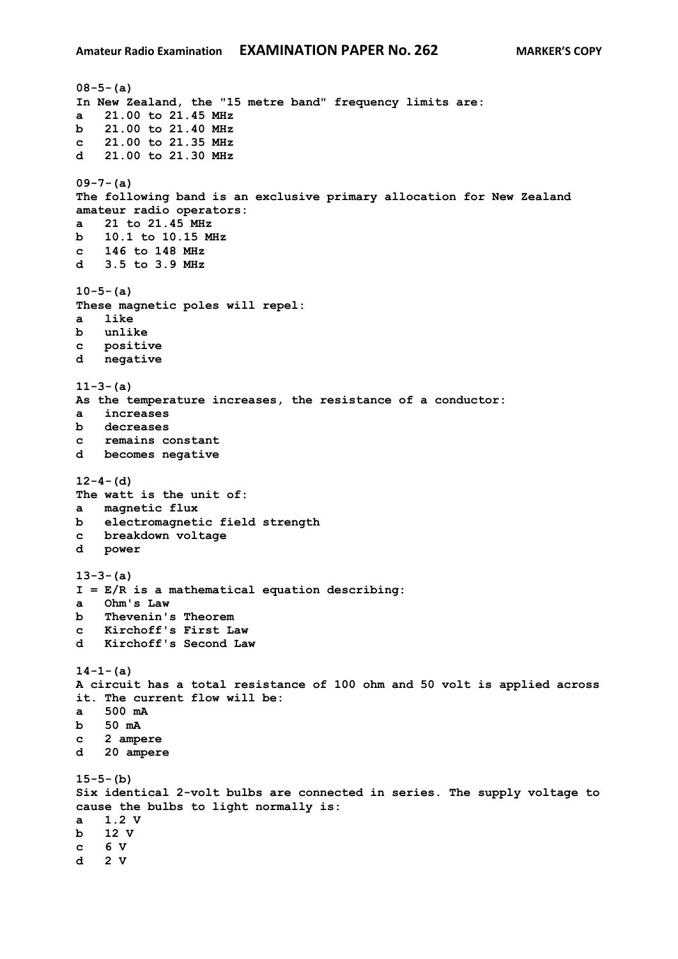```
08-5-(a)
In New Zealand, the "15 metre band" frequency limits are:
a 21.00 to 21.45 MHz
b 21.00 to 21.40 MHz
c 21.00 to 21.35 MHz
d 21.00 to 21.30 MHz
09-7-(a)
The following band is an exclusive primary allocation for New Zealand 
amateur radio operators:
a 21 to 21.45 MHz
b 10.1 to 10.15 MHz
c 146 to 148 MHz
d 3.5 to 3.9 MHz
10-5-(a)
These magnetic poles will repel:
a like
b unlike
c positive
d negative 
11-3-(a)
As the temperature increases, the resistance of a conductor:
a increases
b decreases 
c remains constant
d becomes negative 
12-4-(d)
The watt is the unit of:
a magnetic flux
b electromagnetic field strength
c breakdown voltage
d power
13-3-(a)
I = E/R is a mathematical equation describing:
a Ohm's Law
b Thevenin's Theorem
c Kirchoff's First Law
d Kirchoff's Second Law
14-1-(a)
A circuit has a total resistance of 100 ohm and 50 volt is applied across 
it. The current flow will be:
a 500 mA
b 50 mA
c 2 ampere
d 20 ampere
15-5-(b)
Six identical 2-volt bulbs are connected in series. The supply voltage to 
cause the bulbs to light normally is:
a 1.2 V
b 12 V
c 6 V
d 2 V
```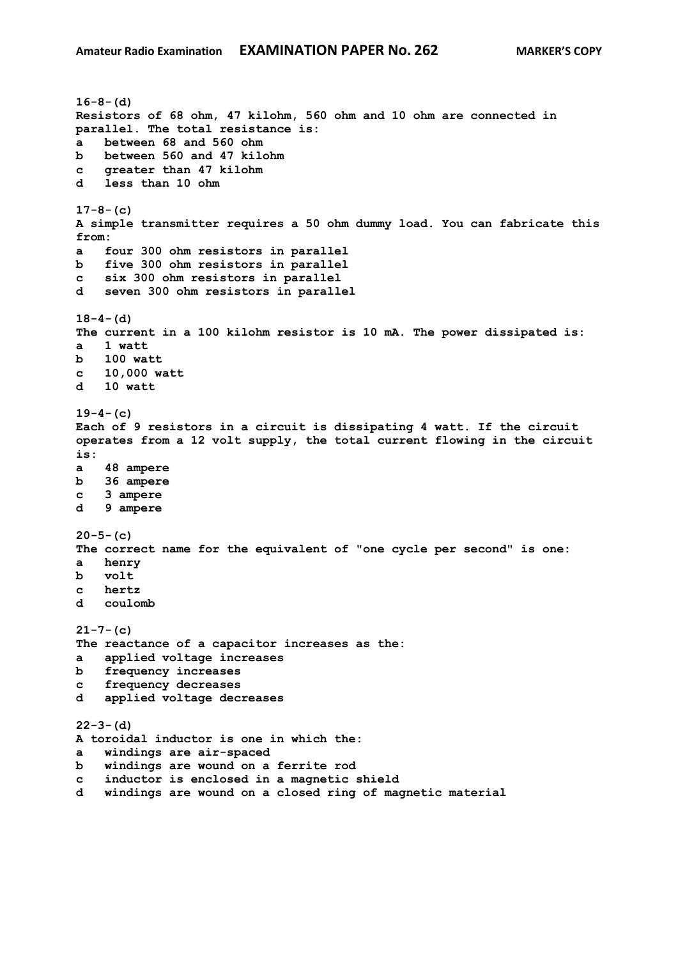```
16-8-(d)
Resistors of 68 ohm, 47 kilohm, 560 ohm and 10 ohm are connected in 
parallel. The total resistance is:
a between 68 and 560 ohm
b between 560 and 47 kilohm
c greater than 47 kilohm
d less than 10 ohm
17-8-(c)
A simple transmitter requires a 50 ohm dummy load. You can fabricate this 
from:
a four 300 ohm resistors in parallel
b five 300 ohm resistors in parallel 
c six 300 ohm resistors in parallel
d seven 300 ohm resistors in parallel
18-4-(d)
The current in a 100 kilohm resistor is 10 mA. The power dissipated is:
a 1 watt
b 100 watt
c 10,000 watt
d 10 watt
19-4-(c)
Each of 9 resistors in a circuit is dissipating 4 watt. If the circuit 
operates from a 12 volt supply, the total current flowing in the circuit 
is:
a 48 ampere
b 36 ampere 
c 3 ampere
d 9 ampere 
20-5-(c)
The correct name for the equivalent of "one cycle per second" is one:
a henry
b volt
c hertz
d coulomb
21-7-(c)
The reactance of a capacitor increases as the:
a applied voltage increases
b frequency increases
c frequency decreases 
d applied voltage decreases
22-3-(d)
A toroidal inductor is one in which the:
a windings are air-spaced
b windings are wound on a ferrite rod
c inductor is enclosed in a magnetic shield
d windings are wound on a closed ring of magnetic material
```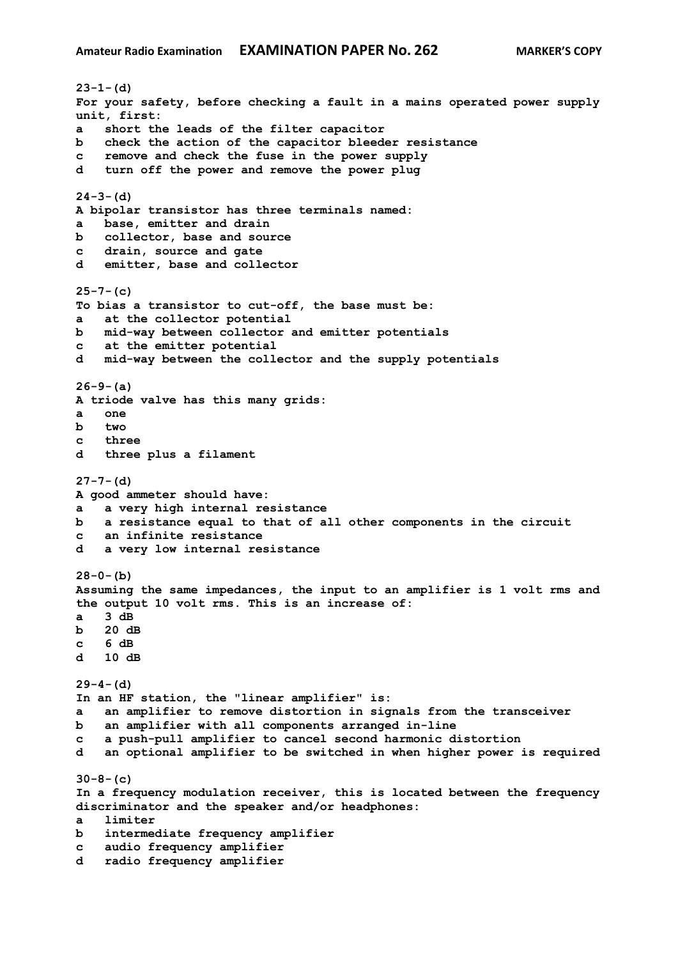**23-1-(d) For your safety, before checking a fault in a mains operated power supply unit, first: a short the leads of the filter capacitor b check the action of the capacitor bleeder resistance c remove and check the fuse in the power supply d turn off the power and remove the power plug 24-3-(d) A bipolar transistor has three terminals named: a base, emitter and drain b collector, base and source c drain, source and gate d emitter, base and collector 25-7-(c) To bias a transistor to cut-off, the base must be: a at the collector potential b mid-way between collector and emitter potentials c at the emitter potential d mid-way between the collector and the supply potentials 26-9-(a) A triode valve has this many grids: a one b two c three d three plus a filament 27-7-(d) A good ammeter should have: a a very high internal resistance b a resistance equal to that of all other components in the circuit c an infinite resistance d a very low internal resistance 28-0-(b) Assuming the same impedances, the input to an amplifier is 1 volt rms and the output 10 volt rms. This is an increase of: a 3 dB b 20 dB c 6 dB d 10 dB 29-4-(d) In an HF station, the "linear amplifier" is: a an amplifier to remove distortion in signals from the transceiver b an amplifier with all components arranged in-line c a push-pull amplifier to cancel second harmonic distortion d an optional amplifier to be switched in when higher power is required 30-8-(c) In a frequency modulation receiver, this is located between the frequency discriminator and the speaker and/or headphones: a limiter b intermediate frequency amplifier c audio frequency amplifier d radio frequency amplifier**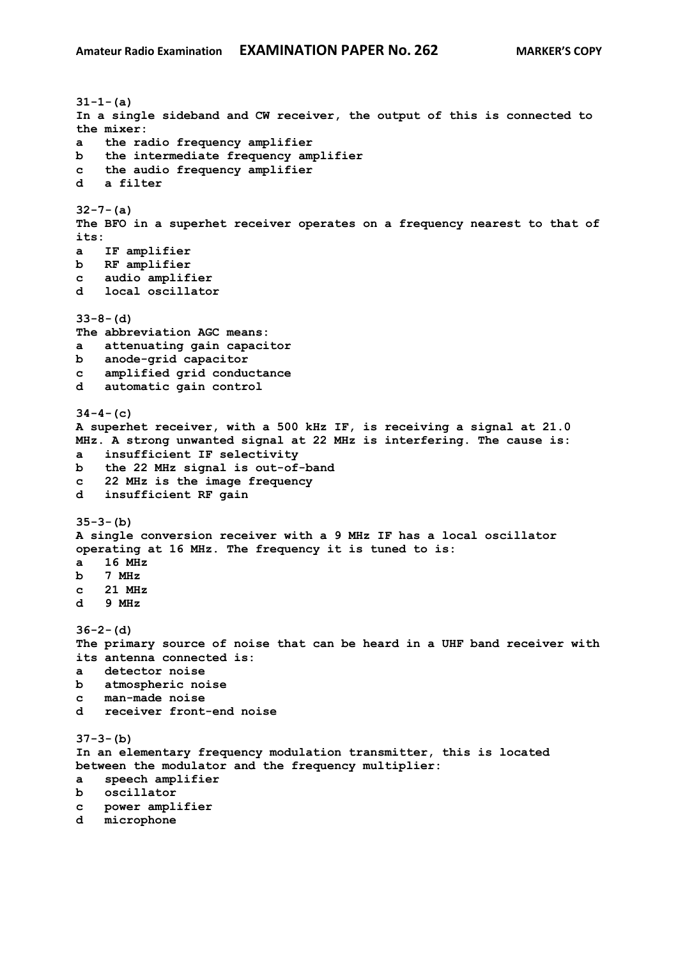**31-1-(a) In a single sideband and CW receiver, the output of this is connected to the mixer: a the radio frequency amplifier b the intermediate frequency amplifier c the audio frequency amplifier d a filter 32-7-(a) The BFO in a superhet receiver operates on a frequency nearest to that of its: a IF amplifier b RF amplifier c audio amplifier d local oscillator 33-8-(d) The abbreviation AGC means: a attenuating gain capacitor b anode-grid capacitor c amplified grid conductance d automatic gain control 34-4-(c) A superhet receiver, with a 500 kHz IF, is receiving a signal at 21.0 MHz. A strong unwanted signal at 22 MHz is interfering. The cause is: a insufficient IF selectivity b the 22 MHz signal is out-of-band c 22 MHz is the image frequency d insufficient RF gain 35-3-(b) A single conversion receiver with a 9 MHz IF has a local oscillator operating at 16 MHz. The frequency it is tuned to is: a 16 MHz b 7 MHz c 21 MHz d 9 MHz 36-2-(d) The primary source of noise that can be heard in a UHF band receiver with its antenna connected is: a detector noise b atmospheric noise c man-made noise d receiver front-end noise 37-3-(b) In an elementary frequency modulation transmitter, this is located between the modulator and the frequency multiplier: a speech amplifier b oscillator c power amplifier d microphone**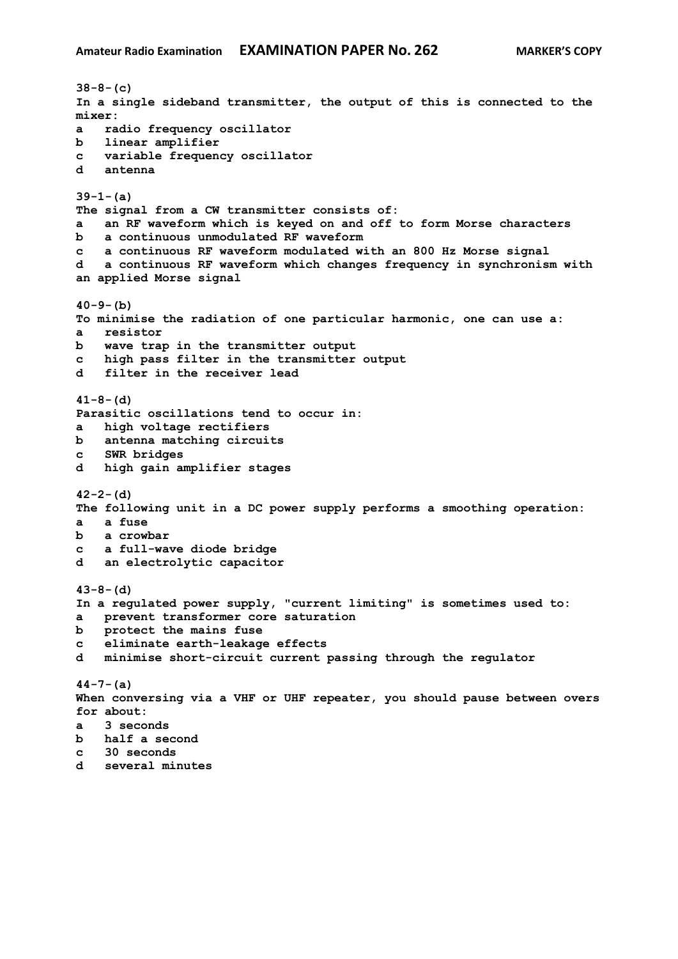**38-8-(c) In a single sideband transmitter, the output of this is connected to the mixer: a radio frequency oscillator b linear amplifier c variable frequency oscillator d antenna 39-1-(a) The signal from a CW transmitter consists of: a an RF waveform which is keyed on and off to form Morse characters b a continuous unmodulated RF waveform c a continuous RF waveform modulated with an 800 Hz Morse signal d a continuous RF waveform which changes frequency in synchronism with an applied Morse signal 40-9-(b) To minimise the radiation of one particular harmonic, one can use a: a resistor b wave trap in the transmitter output c high pass filter in the transmitter output d filter in the receiver lead 41-8-(d) Parasitic oscillations tend to occur in: a high voltage rectifiers b antenna matching circuits c SWR bridges d high gain amplifier stages 42-2-(d) The following unit in a DC power supply performs a smoothing operation: a a fuse b a crowbar c a full-wave diode bridge d an electrolytic capacitor 43-8-(d) In a regulated power supply, "current limiting" is sometimes used to: a prevent transformer core saturation b protect the mains fuse c eliminate earth-leakage effects d minimise short-circuit current passing through the regulator 44-7-(a) When conversing via a VHF or UHF repeater, you should pause between overs for about: a 3 seconds b half a second c 30 seconds d several minutes**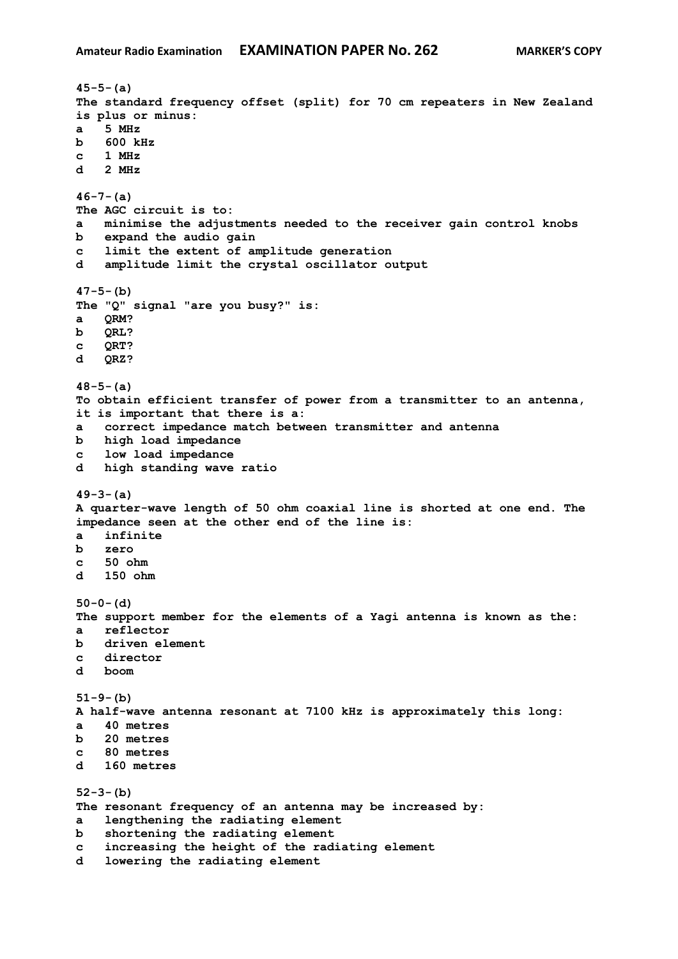**45-5-(a) The standard frequency offset (split) for 70 cm repeaters in New Zealand is plus or minus: a 5 MHz b 600 kHz c 1 MHz d 2 MHz 46-7-(a) The AGC circuit is to: a minimise the adjustments needed to the receiver gain control knobs b expand the audio gain c limit the extent of amplitude generation d amplitude limit the crystal oscillator output 47-5-(b) The "Q" signal "are you busy?" is: a QRM? b QRL? c QRT? d QRZ? 48-5-(a) To obtain efficient transfer of power from a transmitter to an antenna, it is important that there is a: a correct impedance match between transmitter and antenna b high load impedance c low load impedance d high standing wave ratio 49-3-(a) A quarter-wave length of 50 ohm coaxial line is shorted at one end. The impedance seen at the other end of the line is: a infinite b zero c 50 ohm d 150 ohm 50-0-(d) The support member for the elements of a Yagi antenna is known as the: a reflector b driven element c director d boom 51-9-(b) A half-wave antenna resonant at 7100 kHz is approximately this long: a 40 metres b 20 metres c 80 metres d 160 metres 52-3-(b) The resonant frequency of an antenna may be increased by: a lengthening the radiating element b shortening the radiating element c increasing the height of the radiating element d lowering the radiating element**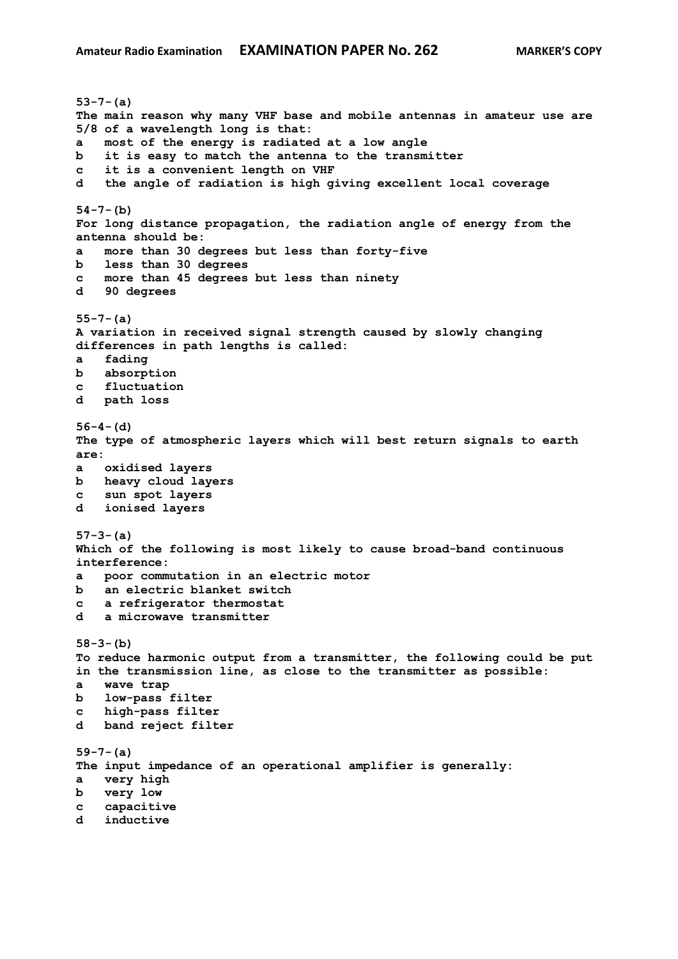**53-7-(a) The main reason why many VHF base and mobile antennas in amateur use are 5/8 of a wavelength long is that: a most of the energy is radiated at a low angle b it is easy to match the antenna to the transmitter c it is a convenient length on VHF d the angle of radiation is high giving excellent local coverage 54-7-(b) For long distance propagation, the radiation angle of energy from the antenna should be: a more than 30 degrees but less than forty-five b less than 30 degrees c more than 45 degrees but less than ninety d 90 degrees 55-7-(a) A variation in received signal strength caused by slowly changing differences in path lengths is called: a fading b absorption c fluctuation d path loss 56-4-(d) The type of atmospheric layers which will best return signals to earth are: a oxidised layers b heavy cloud layers c sun spot layers d ionised layers 57-3-(a) Which of the following is most likely to cause broad-band continuous interference: a poor commutation in an electric motor b an electric blanket switch c a refrigerator thermostat d a microwave transmitter 58-3-(b) To reduce harmonic output from a transmitter, the following could be put in the transmission line, as close to the transmitter as possible: a wave trap b low-pass filter c high-pass filter d band reject filter 59-7-(a) The input impedance of an operational amplifier is generally: a very high b very low c capacitive d inductive**